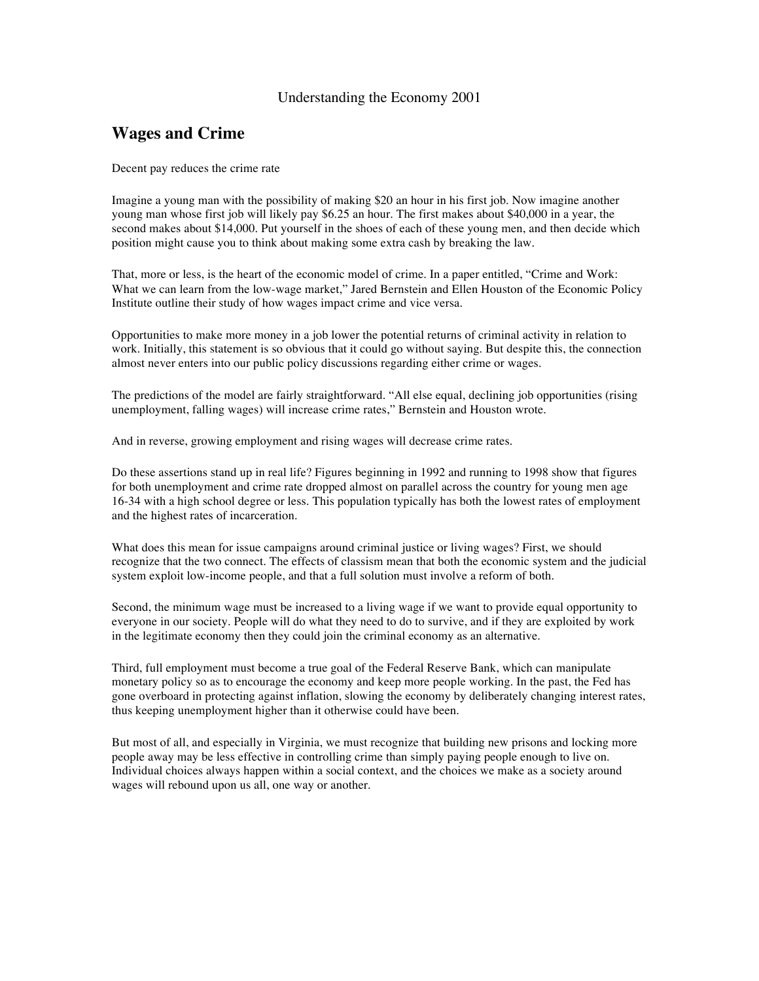#### Understanding the Economy 2001

#### **Wages and Crime**

Decent pay reduces the crime rate

Imagine a young man with the possibility of making \$20 an hour in his first job. Now imagine another young man whose first job will likely pay \$6.25 an hour. The first makes about \$40,000 in a year, the second makes about \$14,000. Put yourself in the shoes of each of these young men, and then decide which position might cause you to think about making some extra cash by breaking the law.

That, more or less, is the heart of the economic model of crime. In a paper entitled, "Crime and Work: What we can learn from the low-wage market," Jared Bernstein and Ellen Houston of the Economic Policy Institute outline their study of how wages impact crime and vice versa.

Opportunities to make more money in a job lower the potential returns of criminal activity in relation to work. Initially, this statement is so obvious that it could go without saying. But despite this, the connection almost never enters into our public policy discussions regarding either crime or wages.

The predictions of the model are fairly straightforward. "All else equal, declining job opportunities (rising unemployment, falling wages) will increase crime rates," Bernstein and Houston wrote.

And in reverse, growing employment and rising wages will decrease crime rates.

Do these assertions stand up in real life? Figures beginning in 1992 and running to 1998 show that figures for both unemployment and crime rate dropped almost on parallel across the country for young men age 16-34 with a high school degree or less. This population typically has both the lowest rates of employment and the highest rates of incarceration.

What does this mean for issue campaigns around criminal justice or living wages? First, we should recognize that the two connect. The effects of classism mean that both the economic system and the judicial system exploit low-income people, and that a full solution must involve a reform of both.

Second, the minimum wage must be increased to a living wage if we want to provide equal opportunity to everyone in our society. People will do what they need to do to survive, and if they are exploited by work in the legitimate economy then they could join the criminal economy as an alternative.

Third, full employment must become a true goal of the Federal Reserve Bank, which can manipulate monetary policy so as to encourage the economy and keep more people working. In the past, the Fed has gone overboard in protecting against inflation, slowing the economy by deliberately changing interest rates, thus keeping unemployment higher than it otherwise could have been.

But most of all, and especially in Virginia, we must recognize that building new prisons and locking more people away may be less effective in controlling crime than simply paying people enough to live on. Individual choices always happen within a social context, and the choices we make as a society around wages will rebound upon us all, one way or another.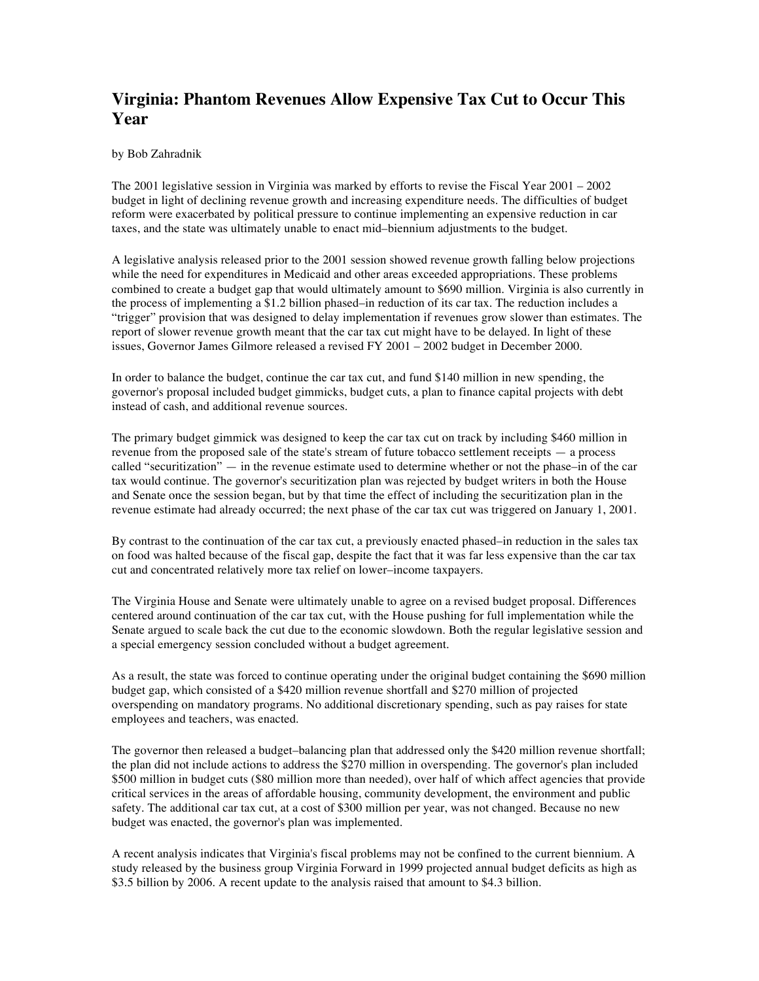# **Virginia: Phantom Revenues Allow Expensive Tax Cut to Occur This Year**

by Bob Zahradnik

The 2001 legislative session in Virginia was marked by efforts to revise the Fiscal Year 2001 – 2002 budget in light of declining revenue growth and increasing expenditure needs. The difficulties of budget reform were exacerbated by political pressure to continue implementing an expensive reduction in car taxes, and the state was ultimately unable to enact mid–biennium adjustments to the budget.

A legislative analysis released prior to the 2001 session showed revenue growth falling below projections while the need for expenditures in Medicaid and other areas exceeded appropriations. These problems combined to create a budget gap that would ultimately amount to \$690 million. Virginia is also currently in the process of implementing a \$1.2 billion phased–in reduction of its car tax. The reduction includes a "trigger" provision that was designed to delay implementation if revenues grow slower than estimates. The report of slower revenue growth meant that the car tax cut might have to be delayed. In light of these issues, Governor James Gilmore released a revised FY 2001 – 2002 budget in December 2000.

In order to balance the budget, continue the car tax cut, and fund \$140 million in new spending, the governor's proposal included budget gimmicks, budget cuts, a plan to finance capital projects with debt instead of cash, and additional revenue sources.

The primary budget gimmick was designed to keep the car tax cut on track by including \$460 million in revenue from the proposed sale of the state's stream of future tobacco settlement receipts — a process called "securitization" — in the revenue estimate used to determine whether or not the phase–in of the car tax would continue. The governor's securitization plan was rejected by budget writers in both the House and Senate once the session began, but by that time the effect of including the securitization plan in the revenue estimate had already occurred; the next phase of the car tax cut was triggered on January 1, 2001.

By contrast to the continuation of the car tax cut, a previously enacted phased–in reduction in the sales tax on food was halted because of the fiscal gap, despite the fact that it was far less expensive than the car tax cut and concentrated relatively more tax relief on lower–income taxpayers.

The Virginia House and Senate were ultimately unable to agree on a revised budget proposal. Differences centered around continuation of the car tax cut, with the House pushing for full implementation while the Senate argued to scale back the cut due to the economic slowdown. Both the regular legislative session and a special emergency session concluded without a budget agreement.

As a result, the state was forced to continue operating under the original budget containing the \$690 million budget gap, which consisted of a \$420 million revenue shortfall and \$270 million of projected overspending on mandatory programs. No additional discretionary spending, such as pay raises for state employees and teachers, was enacted.

The governor then released a budget–balancing plan that addressed only the \$420 million revenue shortfall; the plan did not include actions to address the \$270 million in overspending. The governor's plan included \$500 million in budget cuts (\$80 million more than needed), over half of which affect agencies that provide critical services in the areas of affordable housing, community development, the environment and public safety. The additional car tax cut, at a cost of \$300 million per year, was not changed. Because no new budget was enacted, the governor's plan was implemented.

A recent analysis indicates that Virginia's fiscal problems may not be confined to the current biennium. A study released by the business group Virginia Forward in 1999 projected annual budget deficits as high as \$3.5 billion by 2006. A recent update to the analysis raised that amount to \$4.3 billion.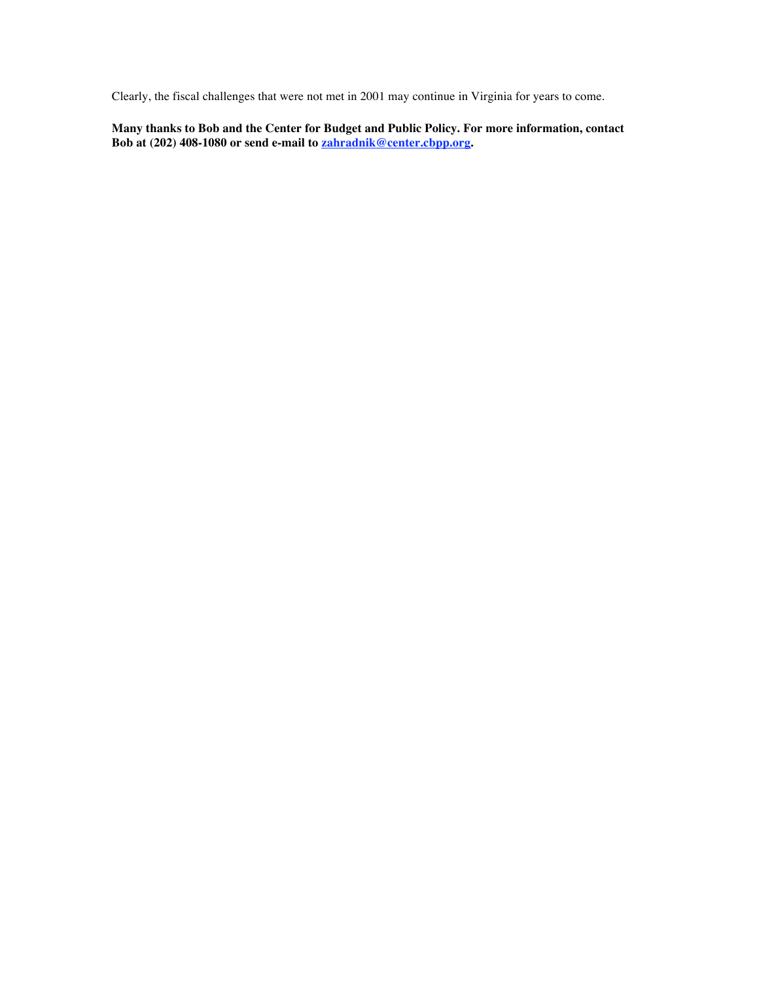Clearly, the fiscal challenges that were not met in 2001 may continue in Virginia for years to come.

**Many thanks to Bob and the Center for Budget and Public Policy. For more information, contact Bob at (202) 408-1080 or send e-mail to zahradnik@center.cbpp.org.**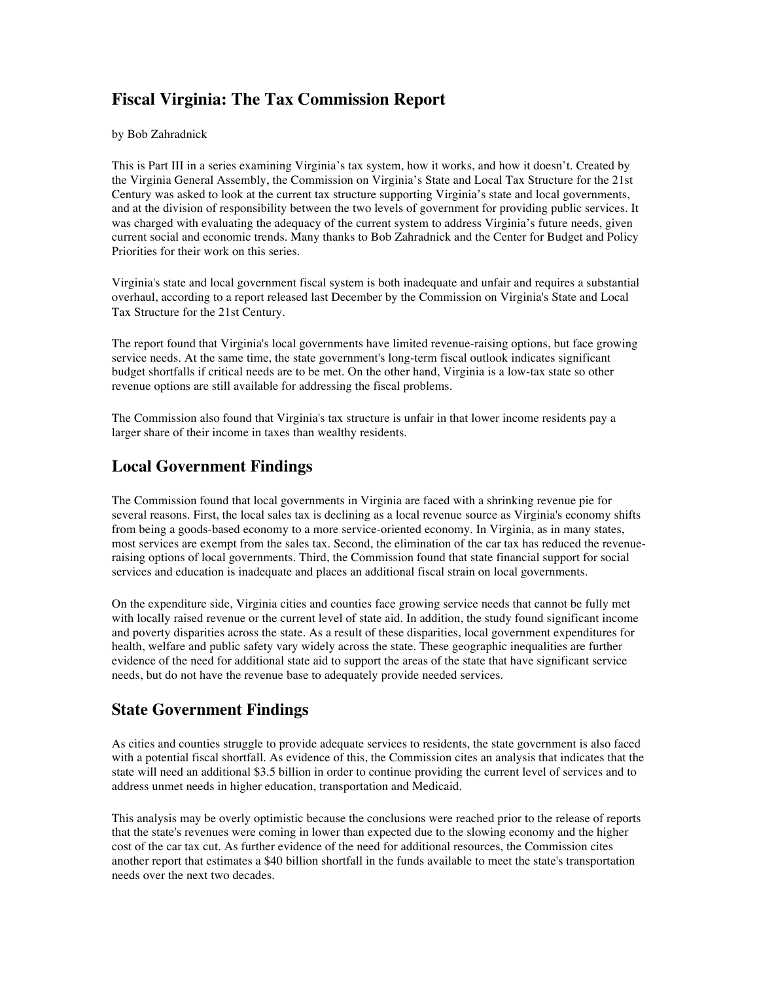# **Fiscal Virginia: The Tax Commission Report**

by Bob Zahradnick

This is Part III in a series examining Virginia's tax system, how it works, and how it doesn't. Created by the Virginia General Assembly, the Commission on Virginia's State and Local Tax Structure for the 21st Century was asked to look at the current tax structure supporting Virginia's state and local governments, and at the division of responsibility between the two levels of government for providing public services. It was charged with evaluating the adequacy of the current system to address Virginia's future needs, given current social and economic trends. Many thanks to Bob Zahradnick and the Center for Budget and Policy Priorities for their work on this series.

Virginia's state and local government fiscal system is both inadequate and unfair and requires a substantial overhaul, according to a report released last December by the Commission on Virginia's State and Local Tax Structure for the 21st Century.

The report found that Virginia's local governments have limited revenue-raising options, but face growing service needs. At the same time, the state government's long-term fiscal outlook indicates significant budget shortfalls if critical needs are to be met. On the other hand, Virginia is a low-tax state so other revenue options are still available for addressing the fiscal problems.

The Commission also found that Virginia's tax structure is unfair in that lower income residents pay a larger share of their income in taxes than wealthy residents.

#### **Local Government Findings**

The Commission found that local governments in Virginia are faced with a shrinking revenue pie for several reasons. First, the local sales tax is declining as a local revenue source as Virginia's economy shifts from being a goods-based economy to a more service-oriented economy. In Virginia, as in many states, most services are exempt from the sales tax. Second, the elimination of the car tax has reduced the revenueraising options of local governments. Third, the Commission found that state financial support for social services and education is inadequate and places an additional fiscal strain on local governments.

On the expenditure side, Virginia cities and counties face growing service needs that cannot be fully met with locally raised revenue or the current level of state aid. In addition, the study found significant income and poverty disparities across the state. As a result of these disparities, local government expenditures for health, welfare and public safety vary widely across the state. These geographic inequalities are further evidence of the need for additional state aid to support the areas of the state that have significant service needs, but do not have the revenue base to adequately provide needed services.

## **State Government Findings**

As cities and counties struggle to provide adequate services to residents, the state government is also faced with a potential fiscal shortfall. As evidence of this, the Commission cites an analysis that indicates that the state will need an additional \$3.5 billion in order to continue providing the current level of services and to address unmet needs in higher education, transportation and Medicaid.

This analysis may be overly optimistic because the conclusions were reached prior to the release of reports that the state's revenues were coming in lower than expected due to the slowing economy and the higher cost of the car tax cut. As further evidence of the need for additional resources, the Commission cites another report that estimates a \$40 billion shortfall in the funds available to meet the state's transportation needs over the next two decades.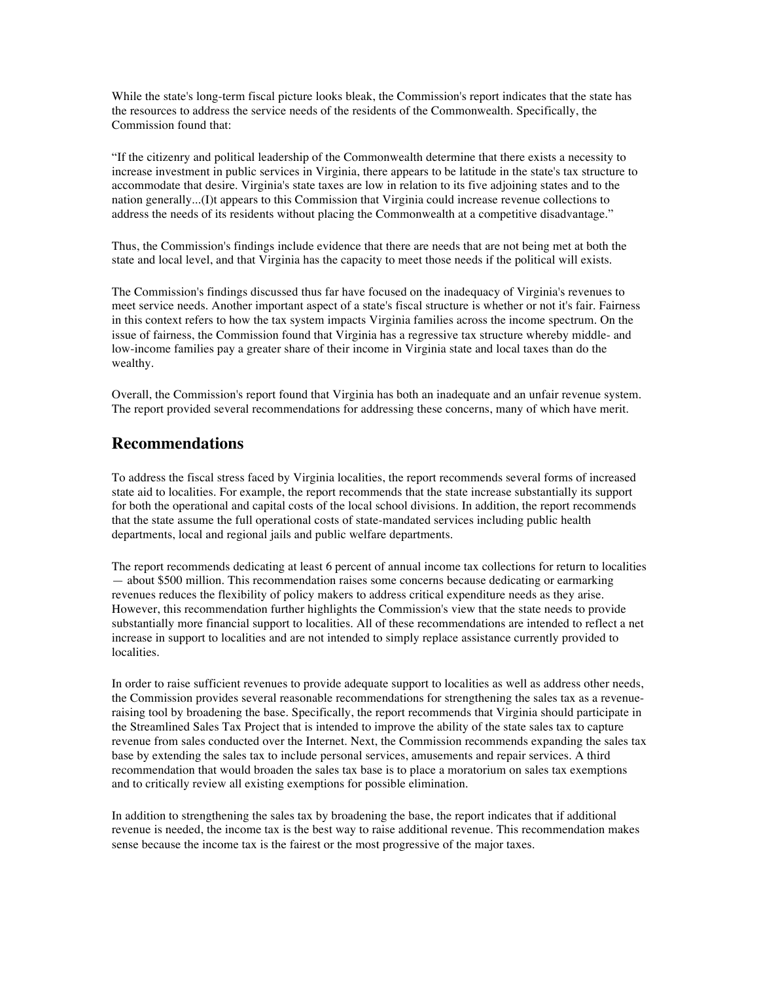While the state's long-term fiscal picture looks bleak, the Commission's report indicates that the state has the resources to address the service needs of the residents of the Commonwealth. Specifically, the Commission found that:

"If the citizenry and political leadership of the Commonwealth determine that there exists a necessity to increase investment in public services in Virginia, there appears to be latitude in the state's tax structure to accommodate that desire. Virginia's state taxes are low in relation to its five adjoining states and to the nation generally...(I)t appears to this Commission that Virginia could increase revenue collections to address the needs of its residents without placing the Commonwealth at a competitive disadvantage."

Thus, the Commission's findings include evidence that there are needs that are not being met at both the state and local level, and that Virginia has the capacity to meet those needs if the political will exists.

The Commission's findings discussed thus far have focused on the inadequacy of Virginia's revenues to meet service needs. Another important aspect of a state's fiscal structure is whether or not it's fair. Fairness in this context refers to how the tax system impacts Virginia families across the income spectrum. On the issue of fairness, the Commission found that Virginia has a regressive tax structure whereby middle- and low-income families pay a greater share of their income in Virginia state and local taxes than do the wealthy.

Overall, the Commission's report found that Virginia has both an inadequate and an unfair revenue system. The report provided several recommendations for addressing these concerns, many of which have merit.

#### **Recommendations**

To address the fiscal stress faced by Virginia localities, the report recommends several forms of increased state aid to localities. For example, the report recommends that the state increase substantially its support for both the operational and capital costs of the local school divisions. In addition, the report recommends that the state assume the full operational costs of state-mandated services including public health departments, local and regional jails and public welfare departments.

The report recommends dedicating at least 6 percent of annual income tax collections for return to localities — about \$500 million. This recommendation raises some concerns because dedicating or earmarking revenues reduces the flexibility of policy makers to address critical expenditure needs as they arise. However, this recommendation further highlights the Commission's view that the state needs to provide substantially more financial support to localities. All of these recommendations are intended to reflect a net increase in support to localities and are not intended to simply replace assistance currently provided to localities.

In order to raise sufficient revenues to provide adequate support to localities as well as address other needs, the Commission provides several reasonable recommendations for strengthening the sales tax as a revenueraising tool by broadening the base. Specifically, the report recommends that Virginia should participate in the Streamlined Sales Tax Project that is intended to improve the ability of the state sales tax to capture revenue from sales conducted over the Internet. Next, the Commission recommends expanding the sales tax base by extending the sales tax to include personal services, amusements and repair services. A third recommendation that would broaden the sales tax base is to place a moratorium on sales tax exemptions and to critically review all existing exemptions for possible elimination.

In addition to strengthening the sales tax by broadening the base, the report indicates that if additional revenue is needed, the income tax is the best way to raise additional revenue. This recommendation makes sense because the income tax is the fairest or the most progressive of the major taxes.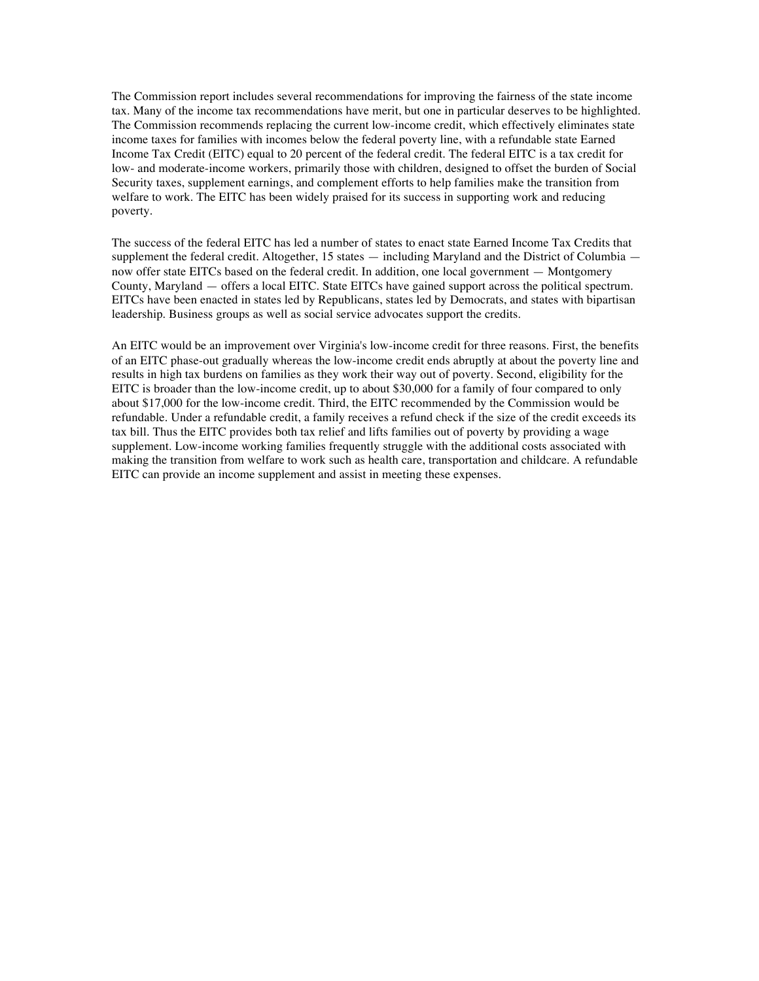The Commission report includes several recommendations for improving the fairness of the state income tax. Many of the income tax recommendations have merit, but one in particular deserves to be highlighted. The Commission recommends replacing the current low-income credit, which effectively eliminates state income taxes for families with incomes below the federal poverty line, with a refundable state Earned Income Tax Credit (EITC) equal to 20 percent of the federal credit. The federal EITC is a tax credit for low- and moderate-income workers, primarily those with children, designed to offset the burden of Social Security taxes, supplement earnings, and complement efforts to help families make the transition from welfare to work. The EITC has been widely praised for its success in supporting work and reducing poverty.

The success of the federal EITC has led a number of states to enact state Earned Income Tax Credits that supplement the federal credit. Altogether, 15 states — including Maryland and the District of Columbia now offer state EITCs based on the federal credit. In addition, one local government — Montgomery County, Maryland — offers a local EITC. State EITCs have gained support across the political spectrum. EITCs have been enacted in states led by Republicans, states led by Democrats, and states with bipartisan leadership. Business groups as well as social service advocates support the credits.

An EITC would be an improvement over Virginia's low-income credit for three reasons. First, the benefits of an EITC phase-out gradually whereas the low-income credit ends abruptly at about the poverty line and results in high tax burdens on families as they work their way out of poverty. Second, eligibility for the EITC is broader than the low-income credit, up to about \$30,000 for a family of four compared to only about \$17,000 for the low-income credit. Third, the EITC recommended by the Commission would be refundable. Under a refundable credit, a family receives a refund check if the size of the credit exceeds its tax bill. Thus the EITC provides both tax relief and lifts families out of poverty by providing a wage supplement. Low-income working families frequently struggle with the additional costs associated with making the transition from welfare to work such as health care, transportation and childcare. A refundable EITC can provide an income supplement and assist in meeting these expenses.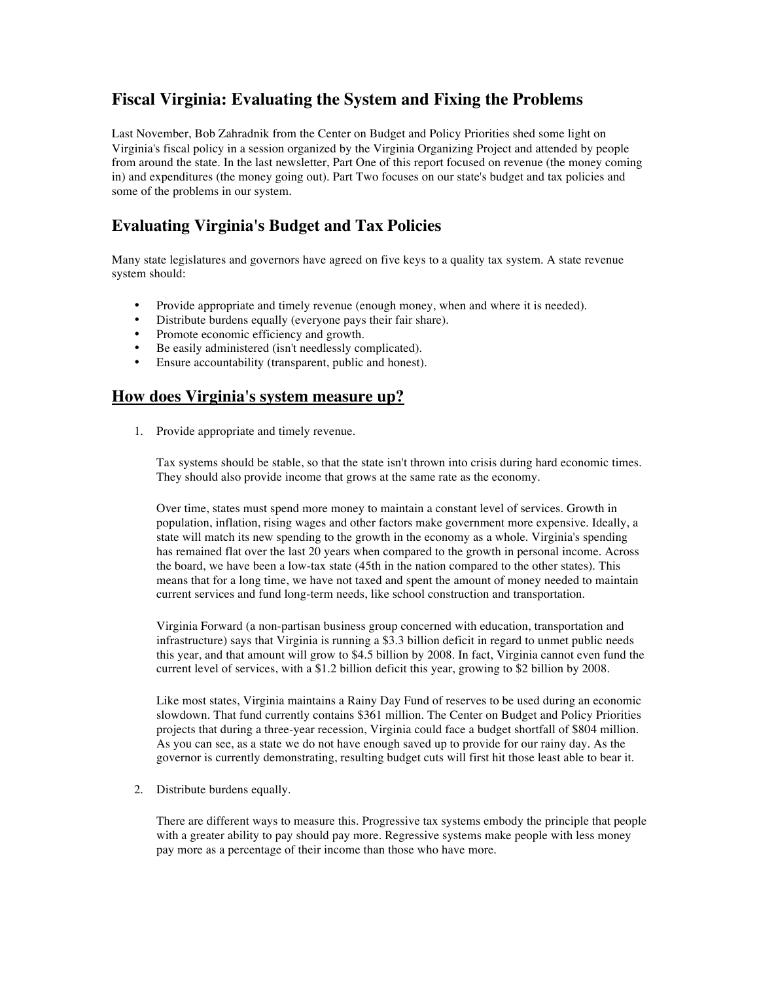## **Fiscal Virginia: Evaluating the System and Fixing the Problems**

Last November, Bob Zahradnik from the Center on Budget and Policy Priorities shed some light on Virginia's fiscal policy in a session organized by the Virginia Organizing Project and attended by people from around the state. In the last newsletter, Part One of this report focused on revenue (the money coming in) and expenditures (the money going out). Part Two focuses on our state's budget and tax policies and some of the problems in our system.

## **Evaluating Virginia's Budget and Tax Policies**

Many state legislatures and governors have agreed on five keys to a quality tax system. A state revenue system should:

- Provide appropriate and timely revenue (enough money, when and where it is needed).
- Distribute burdens equally (everyone pays their fair share).
- Promote economic efficiency and growth.
- Be easily administered (isn't needlessly complicated).<br>• Ensure accountability (transparent, public and honest)
- Ensure accountability (transparent, public and honest).

#### **How does Virginia's system measure up?**

1. Provide appropriate and timely revenue.

Tax systems should be stable, so that the state isn't thrown into crisis during hard economic times. They should also provide income that grows at the same rate as the economy.

Over time, states must spend more money to maintain a constant level of services. Growth in population, inflation, rising wages and other factors make government more expensive. Ideally, a state will match its new spending to the growth in the economy as a whole. Virginia's spending has remained flat over the last 20 years when compared to the growth in personal income. Across the board, we have been a low-tax state (45th in the nation compared to the other states). This means that for a long time, we have not taxed and spent the amount of money needed to maintain current services and fund long-term needs, like school construction and transportation.

Virginia Forward (a non-partisan business group concerned with education, transportation and infrastructure) says that Virginia is running a \$3.3 billion deficit in regard to unmet public needs this year, and that amount will grow to \$4.5 billion by 2008. In fact, Virginia cannot even fund the current level of services, with a \$1.2 billion deficit this year, growing to \$2 billion by 2008.

Like most states, Virginia maintains a Rainy Day Fund of reserves to be used during an economic slowdown. That fund currently contains \$361 million. The Center on Budget and Policy Priorities projects that during a three-year recession, Virginia could face a budget shortfall of \$804 million. As you can see, as a state we do not have enough saved up to provide for our rainy day. As the governor is currently demonstrating, resulting budget cuts will first hit those least able to bear it.

2. Distribute burdens equally.

There are different ways to measure this. Progressive tax systems embody the principle that people with a greater ability to pay should pay more. Regressive systems make people with less money pay more as a percentage of their income than those who have more.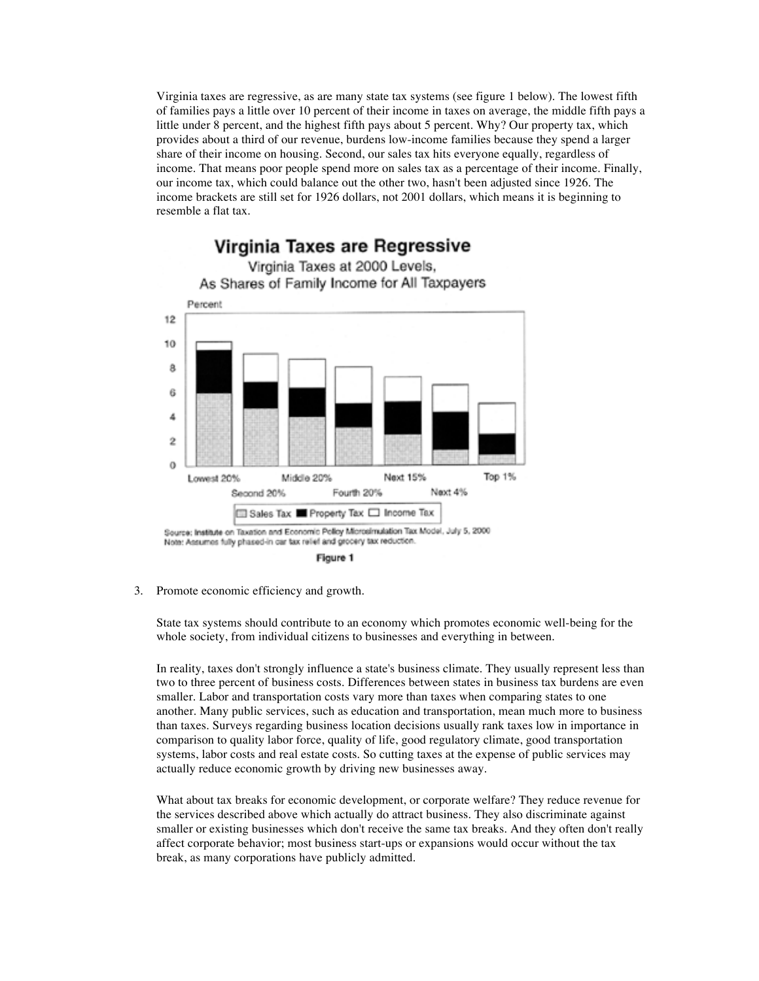Virginia taxes are regressive, as are many state tax systems (see figure 1 below). The lowest fifth of families pays a little over 10 percent of their income in taxes on average, the middle fifth pays a little under 8 percent, and the highest fifth pays about 5 percent. Why? Our property tax, which provides about a third of our revenue, burdens low-income families because they spend a larger share of their income on housing. Second, our sales tax hits everyone equally, regardless of income. That means poor people spend more on sales tax as a percentage of their income. Finally, our income tax, which could balance out the other two, hasn't been adjusted since 1926. The income brackets are still set for 1926 dollars, not 2001 dollars, which means it is beginning to resemble a flat tax.



Figure 1

3. Promote economic efficiency and growth.

State tax systems should contribute to an economy which promotes economic well-being for the whole society, from individual citizens to businesses and everything in between.

In reality, taxes don't strongly influence a state's business climate. They usually represent less than two to three percent of business costs. Differences between states in business tax burdens are even smaller. Labor and transportation costs vary more than taxes when comparing states to one another. Many public services, such as education and transportation, mean much more to business than taxes. Surveys regarding business location decisions usually rank taxes low in importance in comparison to quality labor force, quality of life, good regulatory climate, good transportation systems, labor costs and real estate costs. So cutting taxes at the expense of public services may actually reduce economic growth by driving new businesses away.

What about tax breaks for economic development, or corporate welfare? They reduce revenue for the services described above which actually do attract business. They also discriminate against smaller or existing businesses which don't receive the same tax breaks. And they often don't really affect corporate behavior; most business start-ups or expansions would occur without the tax break, as many corporations have publicly admitted.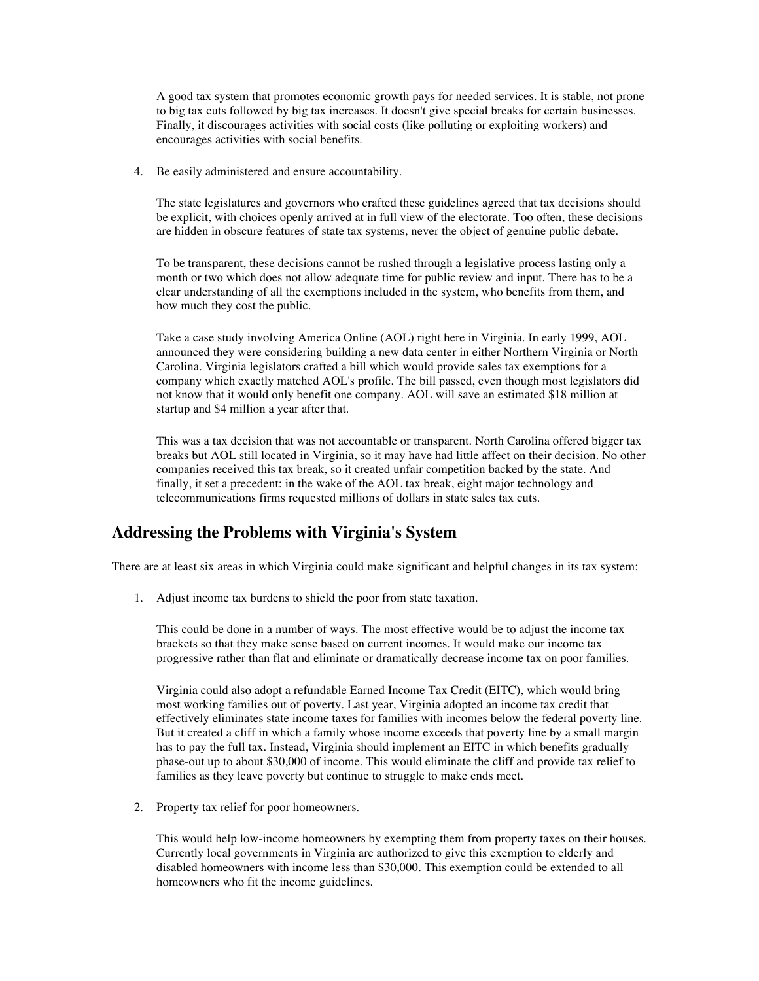A good tax system that promotes economic growth pays for needed services. It is stable, not prone to big tax cuts followed by big tax increases. It doesn't give special breaks for certain businesses. Finally, it discourages activities with social costs (like polluting or exploiting workers) and encourages activities with social benefits.

4. Be easily administered and ensure accountability.

The state legislatures and governors who crafted these guidelines agreed that tax decisions should be explicit, with choices openly arrived at in full view of the electorate. Too often, these decisions are hidden in obscure features of state tax systems, never the object of genuine public debate.

To be transparent, these decisions cannot be rushed through a legislative process lasting only a month or two which does not allow adequate time for public review and input. There has to be a clear understanding of all the exemptions included in the system, who benefits from them, and how much they cost the public.

Take a case study involving America Online (AOL) right here in Virginia. In early 1999, AOL announced they were considering building a new data center in either Northern Virginia or North Carolina. Virginia legislators crafted a bill which would provide sales tax exemptions for a company which exactly matched AOL's profile. The bill passed, even though most legislators did not know that it would only benefit one company. AOL will save an estimated \$18 million at startup and \$4 million a year after that.

This was a tax decision that was not accountable or transparent. North Carolina offered bigger tax breaks but AOL still located in Virginia, so it may have had little affect on their decision. No other companies received this tax break, so it created unfair competition backed by the state. And finally, it set a precedent: in the wake of the AOL tax break, eight major technology and telecommunications firms requested millions of dollars in state sales tax cuts.

#### **Addressing the Problems with Virginia's System**

There are at least six areas in which Virginia could make significant and helpful changes in its tax system:

1. Adjust income tax burdens to shield the poor from state taxation.

This could be done in a number of ways. The most effective would be to adjust the income tax brackets so that they make sense based on current incomes. It would make our income tax progressive rather than flat and eliminate or dramatically decrease income tax on poor families.

Virginia could also adopt a refundable Earned Income Tax Credit (EITC), which would bring most working families out of poverty. Last year, Virginia adopted an income tax credit that effectively eliminates state income taxes for families with incomes below the federal poverty line. But it created a cliff in which a family whose income exceeds that poverty line by a small margin has to pay the full tax. Instead, Virginia should implement an EITC in which benefits gradually phase-out up to about \$30,000 of income. This would eliminate the cliff and provide tax relief to families as they leave poverty but continue to struggle to make ends meet.

2. Property tax relief for poor homeowners.

This would help low-income homeowners by exempting them from property taxes on their houses. Currently local governments in Virginia are authorized to give this exemption to elderly and disabled homeowners with income less than \$30,000. This exemption could be extended to all homeowners who fit the income guidelines.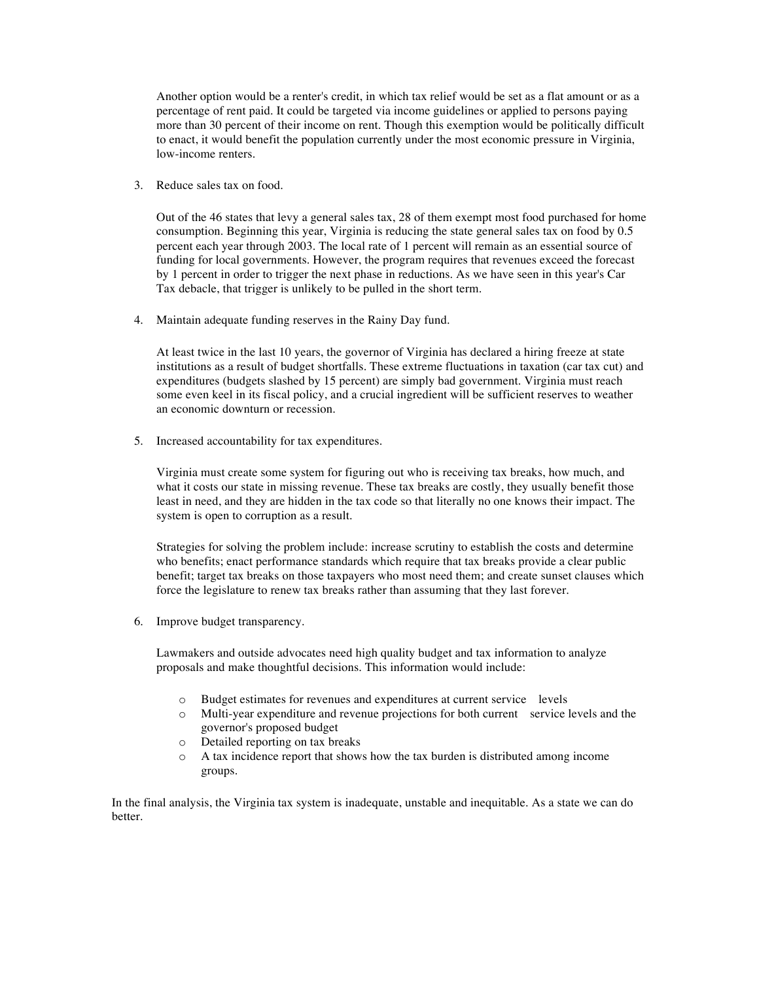Another option would be a renter's credit, in which tax relief would be set as a flat amount or as a percentage of rent paid. It could be targeted via income guidelines or applied to persons paying more than 30 percent of their income on rent. Though this exemption would be politically difficult to enact, it would benefit the population currently under the most economic pressure in Virginia, low-income renters.

3. Reduce sales tax on food.

Out of the 46 states that levy a general sales tax, 28 of them exempt most food purchased for home consumption. Beginning this year, Virginia is reducing the state general sales tax on food by 0.5 percent each year through 2003. The local rate of 1 percent will remain as an essential source of funding for local governments. However, the program requires that revenues exceed the forecast by 1 percent in order to trigger the next phase in reductions. As we have seen in this year's Car Tax debacle, that trigger is unlikely to be pulled in the short term.

4. Maintain adequate funding reserves in the Rainy Day fund.

At least twice in the last 10 years, the governor of Virginia has declared a hiring freeze at state institutions as a result of budget shortfalls. These extreme fluctuations in taxation (car tax cut) and expenditures (budgets slashed by 15 percent) are simply bad government. Virginia must reach some even keel in its fiscal policy, and a crucial ingredient will be sufficient reserves to weather an economic downturn or recession.

5. Increased accountability for tax expenditures.

Virginia must create some system for figuring out who is receiving tax breaks, how much, and what it costs our state in missing revenue. These tax breaks are costly, they usually benefit those least in need, and they are hidden in the tax code so that literally no one knows their impact. The system is open to corruption as a result.

Strategies for solving the problem include: increase scrutiny to establish the costs and determine who benefits; enact performance standards which require that tax breaks provide a clear public benefit; target tax breaks on those taxpayers who most need them; and create sunset clauses which force the legislature to renew tax breaks rather than assuming that they last forever.

6. Improve budget transparency.

Lawmakers and outside advocates need high quality budget and tax information to analyze proposals and make thoughtful decisions. This information would include:

- o Budget estimates for revenues and expenditures at current service levels
- o Multi-year expenditure and revenue projections for both current service levels and the governor's proposed budget
- o Detailed reporting on tax breaks
- o A tax incidence report that shows how the tax burden is distributed among income groups.

In the final analysis, the Virginia tax system is inadequate, unstable and inequitable. As a state we can do better.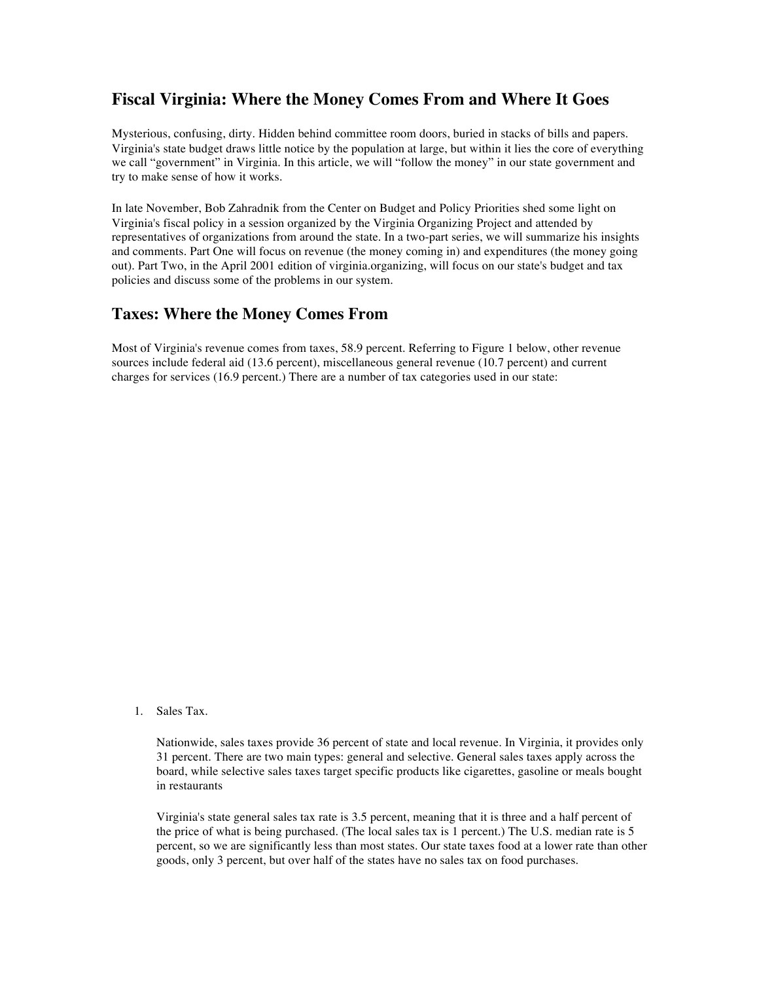## **Fiscal Virginia: Where the Money Comes From and Where It Goes**

Mysterious, confusing, dirty. Hidden behind committee room doors, buried in stacks of bills and papers. Virginia's state budget draws little notice by the population at large, but within it lies the core of everything we call "government" in Virginia. In this article, we will "follow the money" in our state government and try to make sense of how it works.

In late November, Bob Zahradnik from the Center on Budget and Policy Priorities shed some light on Virginia's fiscal policy in a session organized by the Virginia Organizing Project and attended by representatives of organizations from around the state. In a two-part series, we will summarize his insights and comments. Part One will focus on revenue (the money coming in) and expenditures (the money going out). Part Two, in the April 2001 edition of virginia.organizing, will focus on our state's budget and tax policies and discuss some of the problems in our system.

#### **Taxes: Where the Money Comes From**

Most of Virginia's revenue comes from taxes, 58.9 percent. Referring to Figure 1 below, other revenue sources include federal aid (13.6 percent), miscellaneous general revenue (10.7 percent) and current charges for services (16.9 percent.) There are a number of tax categories used in our state:

1. Sales Tax.

Nationwide, sales taxes provide 36 percent of state and local revenue. In Virginia, it provides only 31 percent. There are two main types: general and selective. General sales taxes apply across the board, while selective sales taxes target specific products like cigarettes, gasoline or meals bought in restaurants

Virginia's state general sales tax rate is 3.5 percent, meaning that it is three and a half percent of the price of what is being purchased. (The local sales tax is 1 percent.) The U.S. median rate is 5 percent, so we are significantly less than most states. Our state taxes food at a lower rate than other goods, only 3 percent, but over half of the states have no sales tax on food purchases.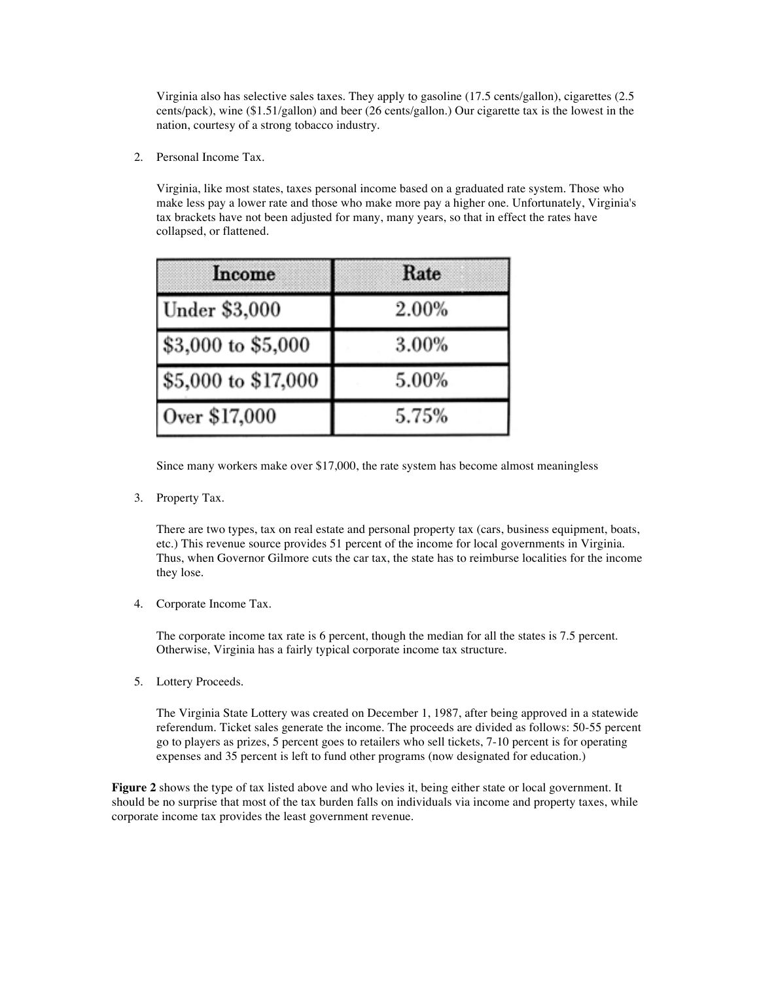Virginia also has selective sales taxes. They apply to gasoline (17.5 cents/gallon), cigarettes (2.5 cents/pack), wine (\$1.51/gallon) and beer (26 cents/gallon.) Our cigarette tax is the lowest in the nation, courtesy of a strong tobacco industry.

2. Personal Income Tax.

Virginia, like most states, taxes personal income based on a graduated rate system. Those who make less pay a lower rate and those who make more pay a higher one. Unfortunately, Virginia's tax brackets have not been adjusted for many, many years, so that in effect the rates have collapsed, or flattened.

| Income              | Rate  |
|---------------------|-------|
| Under \$3,000       | 2.00% |
| \$3,000 to \$5,000  | 3.00% |
| \$5,000 to \$17,000 | 5.00% |
| Over \$17,000       | 5.75% |

Since many workers make over \$17,000, the rate system has become almost meaningless

3. Property Tax.

There are two types, tax on real estate and personal property tax (cars, business equipment, boats, etc.) This revenue source provides 51 percent of the income for local governments in Virginia. Thus, when Governor Gilmore cuts the car tax, the state has to reimburse localities for the income they lose.

4. Corporate Income Tax.

The corporate income tax rate is 6 percent, though the median for all the states is 7.5 percent. Otherwise, Virginia has a fairly typical corporate income tax structure.

5. Lottery Proceeds.

The Virginia State Lottery was created on December 1, 1987, after being approved in a statewide referendum. Ticket sales generate the income. The proceeds are divided as follows: 50-55 percent go to players as prizes, 5 percent goes to retailers who sell tickets, 7-10 percent is for operating expenses and 35 percent is left to fund other programs (now designated for education.)

**Figure** 2 shows the type of tax listed above and who levies it, being either state or local government. It should be no surprise that most of the tax burden falls on individuals via income and property taxes, while corporate income tax provides the least government revenue.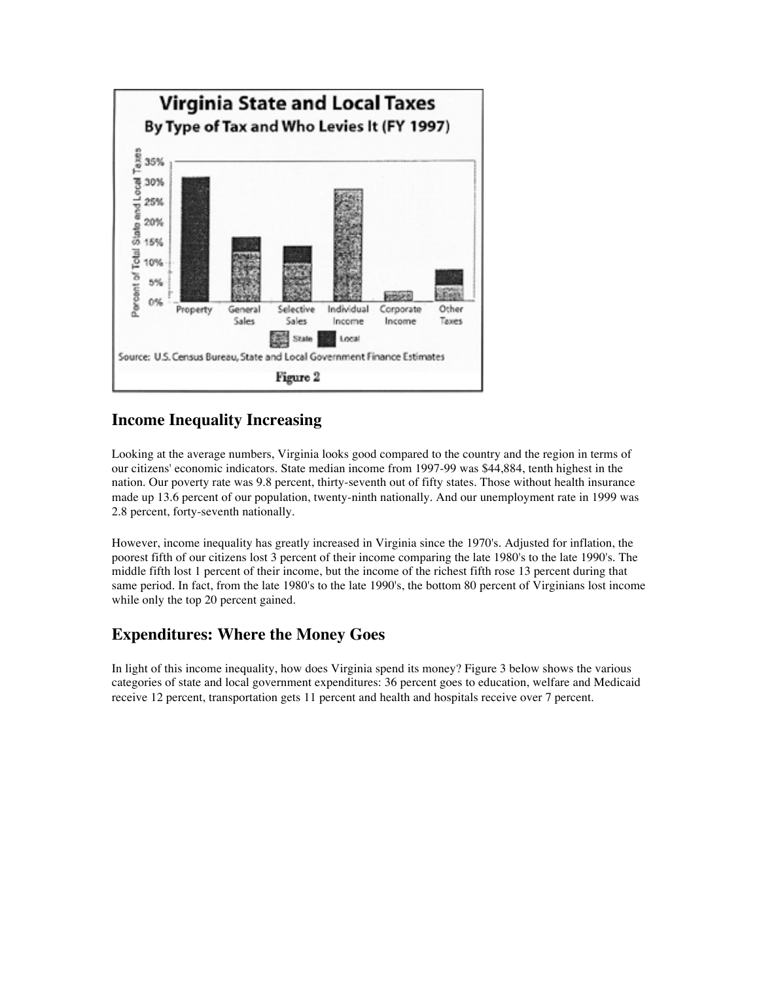

## **Income Inequality Increasing**

Looking at the average numbers, Virginia looks good compared to the country and the region in terms of our citizens' economic indicators. State median income from 1997-99 was \$44,884, tenth highest in the nation. Our poverty rate was 9.8 percent, thirty-seventh out of fifty states. Those without health insurance made up 13.6 percent of our population, twenty-ninth nationally. And our unemployment rate in 1999 was 2.8 percent, forty-seventh nationally.

However, income inequality has greatly increased in Virginia since the 1970's. Adjusted for inflation, the poorest fifth of our citizens lost 3 percent of their income comparing the late 1980's to the late 1990's. The middle fifth lost 1 percent of their income, but the income of the richest fifth rose 13 percent during that same period. In fact, from the late 1980's to the late 1990's, the bottom 80 percent of Virginians lost income while only the top 20 percent gained.

## **Expenditures: Where the Money Goes**

In light of this income inequality, how does Virginia spend its money? Figure 3 below shows the various categories of state and local government expenditures: 36 percent goes to education, welfare and Medicaid receive 12 percent, transportation gets 11 percent and health and hospitals receive over 7 percent.